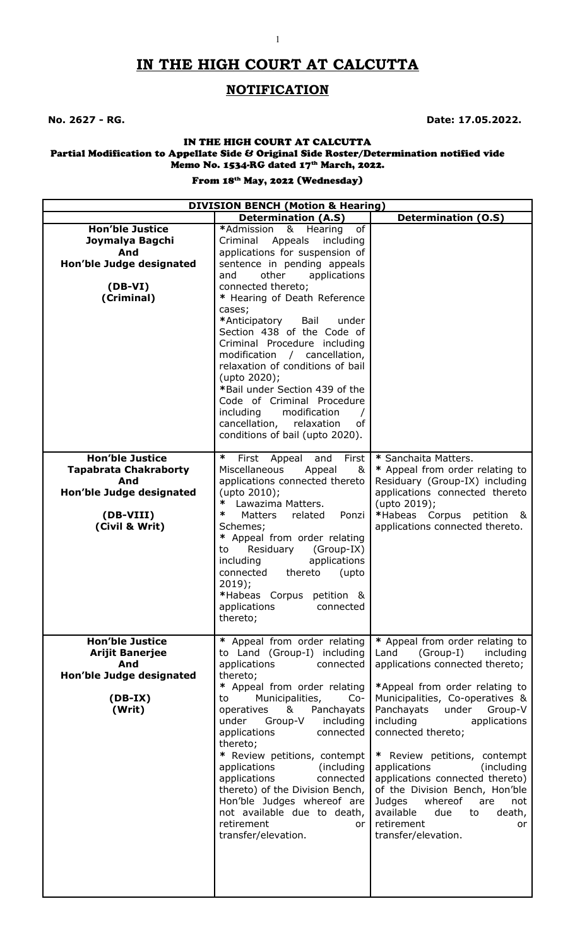# **IN THE HIGH COURT AT CALCUTTA**

1

# **NOTIFICATION**

**No. 2627 - RG. Date: 17.05.2022.**

#### IN THE HIGH COURT AT CALCUTTA Partial Modification to Appellate Side & Original Side Roster/Determination notified vide Memo No. 1534-RG dated 17<sup>th</sup> March, 2022.

### From 18<sup>th</sup> May, 2022 (Wednesday)

| <b>DIVISION BENCH (Motion &amp; Hearing)</b>                                                                             |                                                                                                                                                                                                                                                                                                                                                                                                                                                                                                                                                       |                                                                                                                                                                                                                                                                                                                                                                                                                                                                                                                      |  |
|--------------------------------------------------------------------------------------------------------------------------|-------------------------------------------------------------------------------------------------------------------------------------------------------------------------------------------------------------------------------------------------------------------------------------------------------------------------------------------------------------------------------------------------------------------------------------------------------------------------------------------------------------------------------------------------------|----------------------------------------------------------------------------------------------------------------------------------------------------------------------------------------------------------------------------------------------------------------------------------------------------------------------------------------------------------------------------------------------------------------------------------------------------------------------------------------------------------------------|--|
|                                                                                                                          | <b>Determination (A.S)</b>                                                                                                                                                                                                                                                                                                                                                                                                                                                                                                                            | <b>Determination (O.S)</b>                                                                                                                                                                                                                                                                                                                                                                                                                                                                                           |  |
| <b>Hon'ble Justice</b><br>Joymalya Bagchi<br>And<br>Hon'ble Judge designated<br>$(DB-VI)$<br>(Criminal)                  | & Hearing<br>of<br>*Admission<br>Criminal Appeals<br>including<br>applications for suspension of<br>sentence in pending appeals<br>other<br>applications<br>and<br>connected thereto;<br>* Hearing of Death Reference<br>cases;<br>*Anticipatory<br>Bail<br>under<br>Section 438 of the Code of<br>Criminal Procedure including<br>modification / cancellation,<br>relaxation of conditions of bail<br>(upto 2020);<br>*Bail under Section 439 of the<br>Code of Criminal Procedure<br>including<br>modification<br>cancellation,<br>relaxation<br>of |                                                                                                                                                                                                                                                                                                                                                                                                                                                                                                                      |  |
| <b>Hon'ble Justice</b><br><b>Tapabrata Chakraborty</b><br>And<br>Hon'ble Judge designated<br>(DB-VIII)<br>(Civil & Writ) | conditions of bail (upto 2020).<br>∗<br>First<br>First<br>and<br>Appeal<br>Miscellaneous<br>Appeal<br>&<br>applications connected thereto<br>(upto 2010);<br>Lawazima Matters.<br>∗<br>∗<br>Ponzi<br><b>Matters</b><br>related<br>Schemes;<br>* Appeal from order relating<br>Residuary<br>(Group-IX)<br>to<br>applications<br>including<br>connected<br>thereto<br>(upto<br>$2019$ ;<br>*Habeas Corpus petition &<br>applications<br>connected<br>thereto;                                                                                           | * Sanchaita Matters.<br>* Appeal from order relating to<br>Residuary (Group-IX) including<br>applications connected thereto<br>(upto 2019);<br>*Habeas Corpus petition &<br>applications connected thereto.                                                                                                                                                                                                                                                                                                          |  |
| <b>Hon'ble Justice</b><br><b>Arijit Banerjee</b><br>And<br>Hon'ble Judge designated<br>$(DB-IX)$<br>(Writ)               | * Appeal from order relating<br>to Land (Group-I) including<br>applications<br>connected<br>thereto;<br>* Appeal from order relating<br>Municipalities,<br>to<br>$Co-$<br>&<br>Panchayats<br>operatives<br>Group-V<br>including<br>under<br>applications<br>connected<br>thereto;<br>* Review petitions, contempt<br>applications<br>(including)<br>applications<br>connected<br>thereto) of the Division Bench,<br>Hon'ble Judges whereof are<br>not available due to death,<br>retirement<br>or<br>transfer/elevation.                              | * Appeal from order relating to<br>Land<br>(Group-I)<br>including<br>applications connected thereto;<br>*Appeal from order relating to<br>Municipalities, Co-operatives &<br>Panchayats<br>under<br>Group-V<br>including<br>applications<br>connected thereto;<br>* Review petitions, contempt<br>applications<br>(including)<br>applications connected thereto)<br>of the Division Bench, Hon'ble<br>whereof<br>Judges<br>are<br>not<br>available<br>due<br>to<br>death,<br>retirement<br>or<br>transfer/elevation. |  |